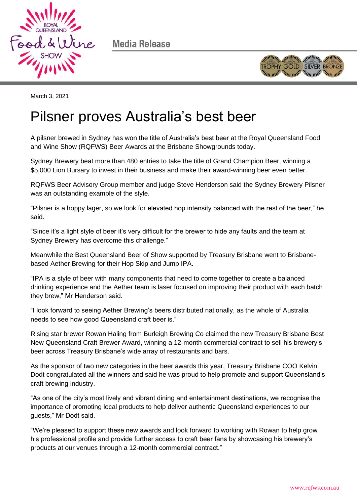

Media Release



March 3, 2021

# Pilsner proves Australia's best beer

A pilsner brewed in Sydney has won the title of Australia's best beer at the Royal Queensland Food and Wine Show (RQFWS) Beer Awards at the Brisbane Showgrounds today.

Sydney Brewery beat more than 480 entries to take the title of Grand Champion Beer, winning a \$5,000 Lion Bursary to invest in their business and make their award-winning beer even better.

RQFWS Beer Advisory Group member and judge Steve Henderson said the Sydney Brewery Pilsner was an outstanding example of the style.

"Pilsner is a hoppy lager, so we look for elevated hop intensity balanced with the rest of the beer," he said.

"Since it's a light style of beer it's very difficult for the brewer to hide any faults and the team at Sydney Brewery has overcome this challenge."

Meanwhile the Best Queensland Beer of Show supported by Treasury Brisbane went to Brisbanebased Aether Brewing for their Hop Skip and Jump IPA.

"IPA is a style of beer with many components that need to come together to create a balanced drinking experience and the Aether team is laser focused on improving their product with each batch they brew," Mr Henderson said.

"I look forward to seeing Aether Brewing's beers distributed nationally, as the whole of Australia needs to see how good Queensland craft beer is."

Rising star brewer Rowan Haling from Burleigh Brewing Co claimed the new Treasury Brisbane Best New Queensland Craft Brewer Award, winning a 12-month commercial contract to sell his brewery's beer across Treasury Brisbane's wide array of restaurants and bars.

As the sponsor of two new categories in the beer awards this year, Treasury Brisbane COO Kelvin Dodt congratulated all the winners and said he was proud to help promote and support Queensland's craft brewing industry.

"As one of the city's most lively and vibrant dining and entertainment destinations, we recognise the importance of promoting local products to help deliver authentic Queensland experiences to our guests," Mr Dodt said.

"We're pleased to support these new awards and look forward to working with Rowan to help grow his professional profile and provide further access to craft beer fans by showcasing his brewery's products at our venues through a 12-month commercial contract."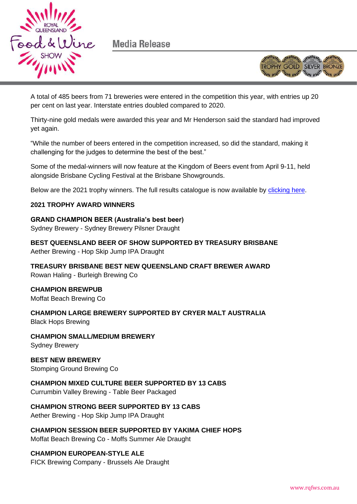

Media Release



A total of 485 beers from 71 breweries were entered in the competition this year, with entries up 20 per cent on last year. Interstate entries doubled compared to 2020.

Thirty-nine gold medals were awarded this year and Mr Henderson said the standard had improved yet again.

"While the number of beers entered in the competition increased, so did the standard, making it challenging for the judges to determine the best of the best."

Some of the medal-winners will now feature at the Kingdom of Beers event from April 9-11, held alongside Brisbane Cycling Festival at the Brisbane Showgrounds.

Below are the 2021 trophy winners. The full results catalogue is now available by [clicking here.](http://www.rqfws.com.au/media/128057/Royal_Queensland_Beer_Awards_Results_Catalogue_2021.pdf)

#### **2021 TROPHY AWARD WINNERS**

**GRAND CHAMPION BEER (Australia's best beer)** Sydney Brewery - Sydney Brewery Pilsner Draught

**BEST QUEENSLAND BEER OF SHOW SUPPORTED BY TREASURY BRISBANE**  Aether Brewing - Hop Skip Jump IPA Draught

**TREASURY BRISBANE BEST NEW QUEENSLAND CRAFT BREWER AWARD** Rowan Haling - Burleigh Brewing Co

**CHAMPION BREWPUB** Moffat Beach Brewing Co

**CHAMPION LARGE BREWERY SUPPORTED BY CRYER MALT AUSTRALIA** Black Hops Brewing

**CHAMPION SMALL/MEDIUM BREWERY**

Sydney Brewery

**BEST NEW BREWERY** Stomping Ground Brewing Co

**CHAMPION MIXED CULTURE BEER SUPPORTED BY 13 CABS**

Currumbin Valley Brewing - Table Beer Packaged

**CHAMPION STRONG BEER SUPPORTED BY 13 CABS**

Aether Brewing - Hop Skip Jump IPA Draught

**CHAMPION SESSION BEER SUPPORTED BY YAKIMA CHIEF HOPS** Moffat Beach Brewing Co - Moffs Summer Ale Draught

**CHAMPION EUROPEAN-STYLE ALE** FICK Brewing Company - Brussels Ale Draught